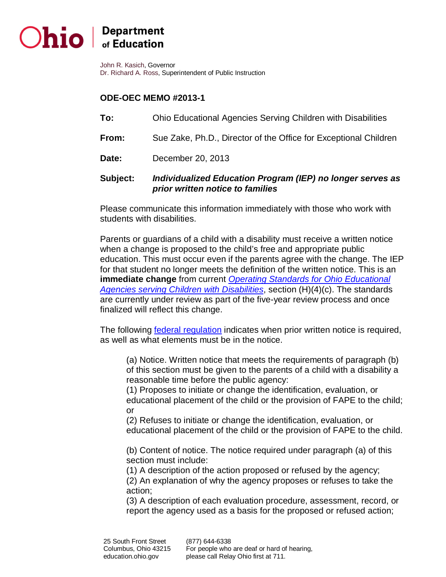## Ohio | Department of Education

 John R. Kasich, Governor Dr. Richard A. Ross, Superintendent of Public Instruction

## **ODE-OEC MEMO #2013-1**

- **To:** Ohio Educational Agencies Serving Children with Disabilities
- **From:** Sue Zake, Ph.D., Director of the Office for Exceptional Children
- Date: **Date:** December 20, 2013

## **Subject:** *Individualized Education Program (IEP) no longer serves as prior written notice to families*

 Please communicate this information immediately with those who work with students with disabilities.

 Parents or guardians of a child with a disability must receive a written notice when a change is proposed to the child's free and appropriate public education. This must occur even if the parents agree with the change. The IEP for that student no longer meets the definition of the written notice. This is an **immediate change** from current *[Operating Standards for Ohio Educational](http://codes.ohio.gov/oac/3301-51-05)  [Agencies serving Children with Disabilities](http://codes.ohio.gov/oac/3301-51-05)*, section (H)(4)(c). The standards are currently under review as part of the five-year review process and once finalized will reflect this change.

The following *federal regulation* indicates when prior written notice is required, as well as what elements must be in the notice.

 (a) Notice. Written notice that meets the requirements of paragraph (b) of this section must be given to the parents of a child with a disability a reasonable time before the public agency:

 (1) Proposes to initiate or change the identification, evaluation, or educational placement of the child or the provision of FAPE to the child; or

 (2) Refuses to initiate or change the identification, evaluation, or educational placement of the child or the provision of FAPE to the child.

 (b) Content of notice. The notice required under paragraph (a) of this section must include:

(1) A description of the action proposed or refused by the agency;

 (2) An explanation of why the agency proposes or refuses to take the action;

 (3) A description of each evaluation procedure, assessment, record, or report the agency used as a basis for the proposed or refused action;